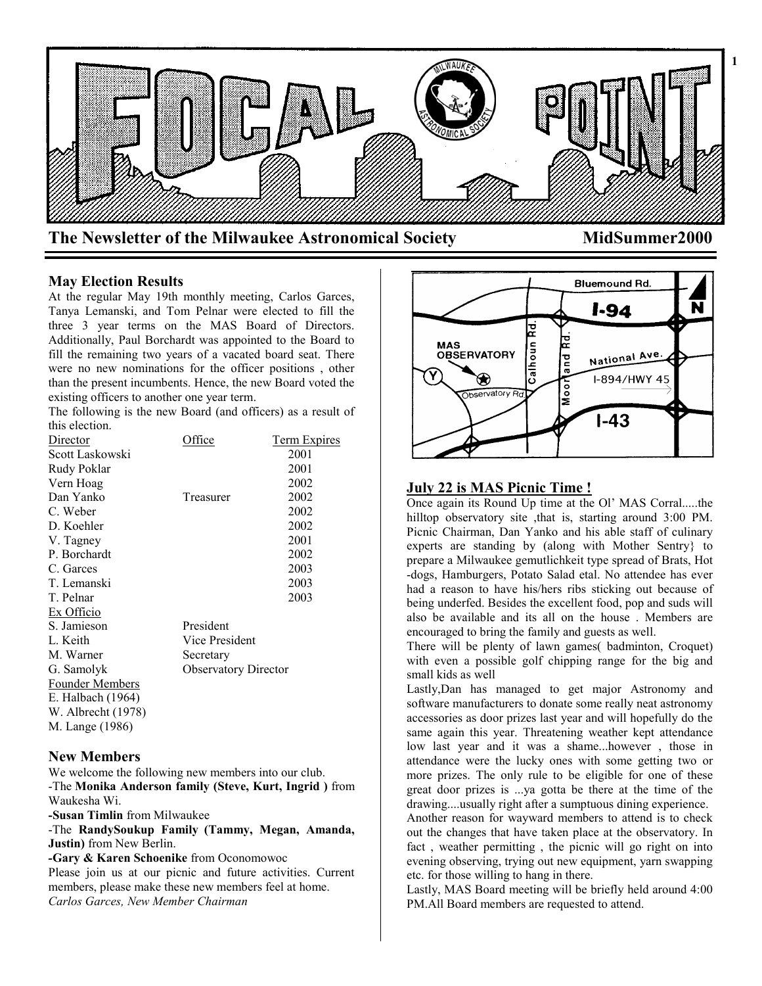

### **May Election Results**

At the regular May 19th monthly meeting, Carlos Garces, Tanya Lemanski, and Tom Pelnar were elected to fill the three 3 year terms on the MAS Board of Directors. Additionally, Paul Borchardt was appointed to the Board to fill the remaining two years of a vacated board seat. There were no new nominations for the officer positions , other than the present incumbents. Hence, the new Board voted the existing officers to another one year term.

The following is the new Board (and officers) as a result of this election.

| Director               | <b>Office</b>               | Term Expires |
|------------------------|-----------------------------|--------------|
| Scott Laskowski        |                             | 2001         |
| Rudy Poklar            |                             | 2001         |
| Vern Hoag              |                             | 2002         |
| Dan Yanko              | Treasurer                   | 2002         |
| C. Weber               |                             | 2002         |
| D. Koehler             |                             | 2002         |
| V. Tagney              |                             | 2001         |
| P. Borchardt           |                             | 2002         |
| C. Garces              |                             | 2003         |
| T. Lemanski            |                             | 2003         |
| T. Pelnar              |                             | 2003         |
| Ex Officio             |                             |              |
| S. Jamieson            | President                   |              |
| L. Keith               | Vice President              |              |
| M. Warner              | Secretary                   |              |
| G. Samolyk             | <b>Observatory Director</b> |              |
| <b>Founder Members</b> |                             |              |
| E. Halbach (1964)      |                             |              |
| W. Albrecht (1978)     |                             |              |
| M. Lange (1986)        |                             |              |

#### **New Members**

We welcome the following new members into our club. -The **Monika Anderson family (Steve, Kurt, Ingrid )** from Waukesha Wi.

**-Susan Timlin** from Milwaukee

-The **RandySoukup Family (Tammy, Megan, Amanda, Justin)** from New Berlin.

*-***Gary & Karen Schoenike** from Oconomowoc Please join us at our picnic and future activities. Current members, please make these new members feel at home. *Carlos Garces, New Member Chairman*



## **July 22 is MAS Picnic Time !**

Once again its Round Up time at the Ol' MAS Corral.....the hilltop observatory site ,that is, starting around 3:00 PM. Picnic Chairman, Dan Yanko and his able staff of culinary experts are standing by (along with Mother Sentry} to prepare a Milwaukee gemutlichkeit type spread of Brats, Hot -dogs, Hamburgers, Potato Salad etal. No attendee has ever had a reason to have his/hers ribs sticking out because of being underfed. Besides the excellent food, pop and suds will also be available and its all on the house . Members are encouraged to bring the family and guests as well.

There will be plenty of lawn games( badminton, Croquet) with even a possible golf chipping range for the big and small kids as well

Lastly,Dan has managed to get major Astronomy and software manufacturers to donate some really neat astronomy accessories as door prizes last year and will hopefully do the same again this year. Threatening weather kept attendance low last year and it was a shame...however , those in attendance were the lucky ones with some getting two or more prizes. The only rule to be eligible for one of these great door prizes is ...ya gotta be there at the time of the drawing....usually right after a sumptuous dining experience.

Another reason for wayward members to attend is to check out the changes that have taken place at the observatory. In fact , weather permitting , the picnic will go right on into evening observing, trying out new equipment, yarn swapping etc. for those willing to hang in there.

Lastly, MAS Board meeting will be briefly held around 4:00 PM.All Board members are requested to attend.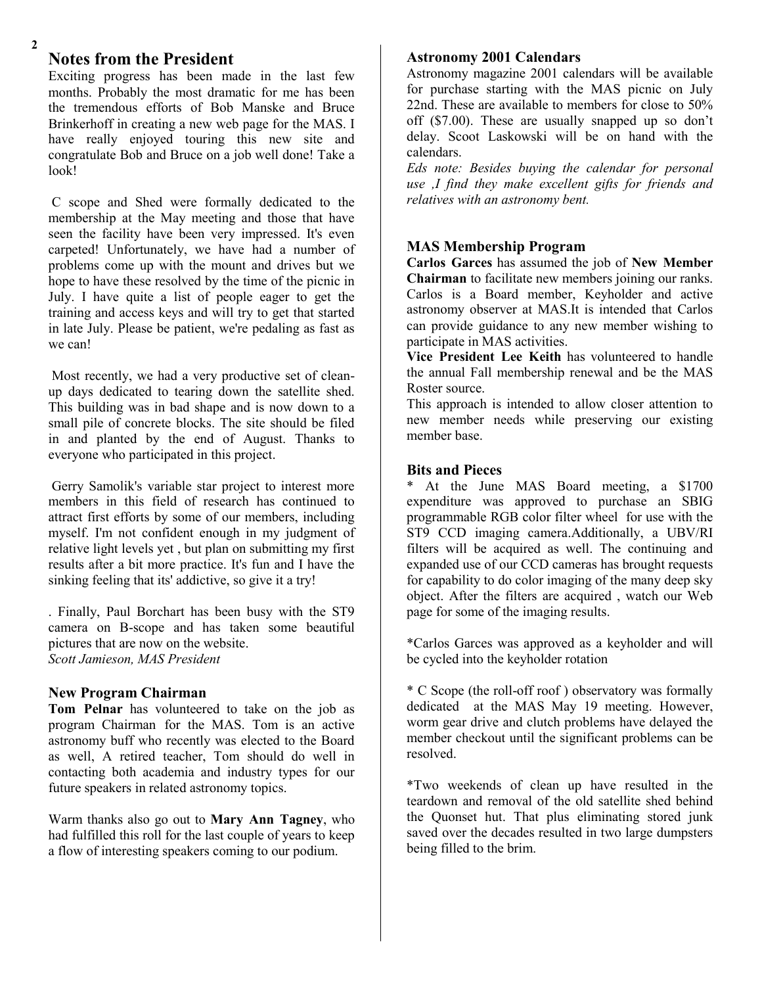# **Notes from the President**

Exciting progress has been made in the last few months. Probably the most dramatic for me has been the tremendous efforts of Bob Manske and Bruce Brinkerhoff in creating a new web page for the MAS. I have really enjoyed touring this new site and congratulate Bob and Bruce on a job well done! Take a look!

C scope and Shed were formally dedicated to the membership at the May meeting and those that have seen the facility have been very impressed. It's even carpeted! Unfortunately, we have had a number of problems come up with the mount and drives but we hope to have these resolved by the time of the picnic in July. I have quite a list of people eager to get the training and access keys and will try to get that started in late July. Please be patient, we're pedaling as fast as we can!

Most recently, we had a very productive set of cleanup days dedicated to tearing down the satellite shed. This building was in bad shape and is now down to a small pile of concrete blocks. The site should be filed in and planted by the end of August. Thanks to everyone who participated in this project.

Gerry Samolik's variable star project to interest more members in this field of research has continued to attract first efforts by some of our members, including myself. I'm not confident enough in my judgment of relative light levels yet , but plan on submitting my first results after a bit more practice. It's fun and I have the sinking feeling that its' addictive, so give it a try!

. Finally, Paul Borchart has been busy with the ST9 camera on B-scope and has taken some beautiful pictures that are now on the website. *Scott Jamieson, MAS President*

## **New Program Chairman**

**Tom Pelnar** has volunteered to take on the job as program Chairman for the MAS. Tom is an active astronomy buff who recently was elected to the Board as well, A retired teacher, Tom should do well in contacting both academia and industry types for our future speakers in related astronomy topics.

Warm thanks also go out to **Mary Ann Tagney**, who had fulfilled this roll for the last couple of years to keep a flow of interesting speakers coming to our podium.

### **Astronomy 2001 Calendars**

**3** Astronomy magazine 2001 calendars will be available for purchase starting with the MAS picnic on July 22nd. These are available to members for close to 50% off (\$7.00). These are usually snapped up so don't delay. Scoot Laskowski will be on hand with the calendars.

*Eds note: Besides buying the calendar for personal use ,I find they make excellent gifts for friends and relatives with an astronomy bent.*

# **MAS Membership Program**

**Carlos Garces** has assumed the job of **New Member Chairman** to facilitate new members joining our ranks. Carlos is a Board member, Keyholder and active astronomy observer at MAS.It is intended that Carlos can provide guidance to any new member wishing to participate in MAS activities.

**Vice President Lee Keith** has volunteered to handle the annual Fall membership renewal and be the MAS Roster source.

This approach is intended to allow closer attention to new member needs while preserving our existing member base.

## **Bits and Pieces**

\* At the June MAS Board meeting, a \$1700 expenditure was approved to purchase an SBIG programmable RGB color filter wheel for use with the ST9 CCD imaging camera.Additionally, a UBV/RI filters will be acquired as well. The continuing and expanded use of our CCD cameras has brought requests for capability to do color imaging of the many deep sky object. After the filters are acquired , watch our Web page for some of the imaging results.

\*Carlos Garces was approved as a keyholder and will be cycled into the keyholder rotation

\* C Scope (the roll-off roof ) observatory was formally dedicated at the MAS May 19 meeting. However, worm gear drive and clutch problems have delayed the member checkout until the significant problems can be resolved.

\*Two weekends of clean up have resulted in the teardown and removal of the old satellite shed behind the Quonset hut. That plus eliminating stored junk saved over the decades resulted in two large dumpsters being filled to the brim.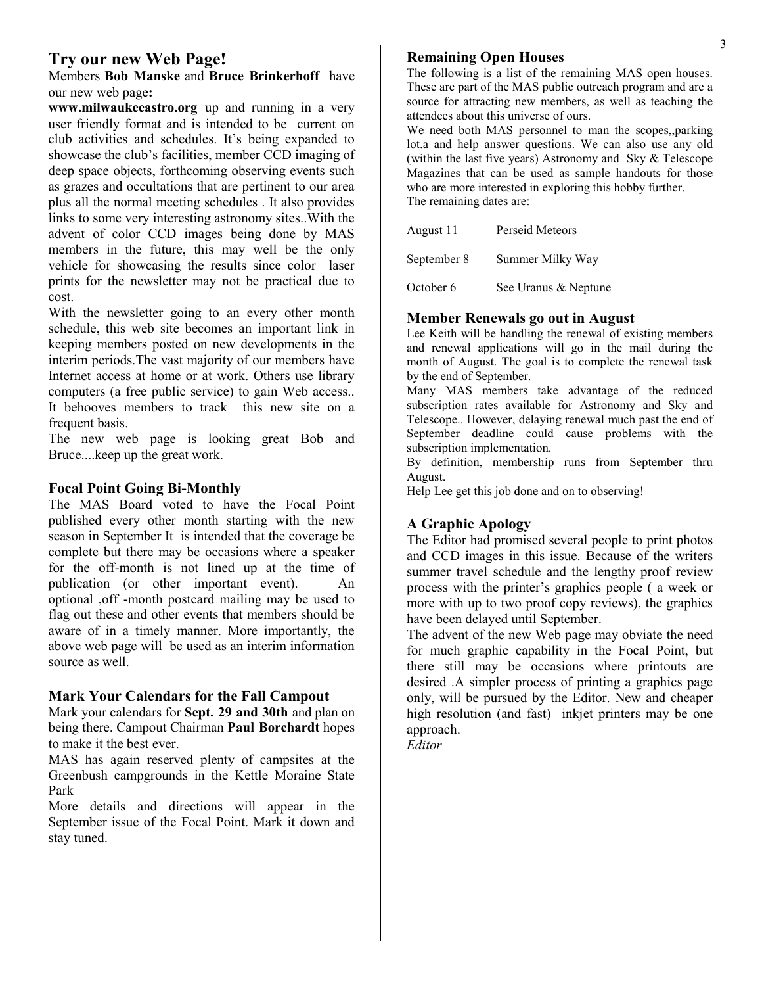# **Try our new Web Page!**

Members **Bob Manske** and **Bruce Brinkerhoff** have our new web page**:**

**www.milwaukeeastro.org** up and running in a very user friendly format and is intended to be current on club activities and schedules. It's being expanded to showcase the club's facilities, member CCD imaging of deep space objects, forthcoming observing events such as grazes and occultations that are pertinent to our area plus all the normal meeting schedules . It also provides links to some very interesting astronomy sites..With the advent of color CCD images being done by MAS members in the future, this may well be the only vehicle for showcasing the results since color laser prints for the newsletter may not be practical due to cost.

With the newsletter going to an every other month schedule, this web site becomes an important link in keeping members posted on new developments in the interim periods.The vast majority of our members have Internet access at home or at work. Others use library computers (a free public service) to gain Web access.. It behooves members to track this new site on a frequent basis.

The new web page is looking great Bob and Bruce....keep up the great work.

# **Focal Point Going Bi-Monthly**

The MAS Board voted to have the Focal Point published every other month starting with the new season in September It is intended that the coverage be complete but there may be occasions where a speaker for the off-month is not lined up at the time of publication (or other important event). An optional ,off -month postcard mailing may be used to flag out these and other events that members should be aware of in a timely manner. More importantly, the above web page will be used as an interim information source as well.

# **Mark Your Calendars for the Fall Campout**

Mark your calendars for **Sept. 29 and 30th** and plan on being there. Campout Chairman **Paul Borchardt** hopes to make it the best ever.

MAS has again reserved plenty of campsites at the Greenbush campgrounds in the Kettle Moraine State Park

More details and directions will appear in the September issue of the Focal Point. Mark it down and stay tuned.

## **Remaining Open Houses**

The following is a list of the remaining MAS open houses. These are part of the MAS public outreach program and are a source for attracting new members, as well as teaching the attendees about this universe of ours.

We need both MAS personnel to man the scopes,,parking lot.a and help answer questions. We can also use any old (within the last five years) Astronomy and Sky & Telescope Magazines that can be used as sample handouts for those who are more interested in exploring this hobby further. The remaining dates are:

August 11 Perseid Meteors September 8 Summer Milky Way

October 6 See Uranus & Neptune

# **Member Renewals go out in August**

Lee Keith will be handling the renewal of existing members and renewal applications will go in the mail during the month of August. The goal is to complete the renewal task by the end of September.

Many MAS members take advantage of the reduced subscription rates available for Astronomy and Sky and Telescope.. However, delaying renewal much past the end of September deadline could cause problems with the subscription implementation.

By definition, membership runs from September thru August.

Help Lee get this job done and on to observing!

# **A Graphic Apology**

The Editor had promised several people to print photos and CCD images in this issue. Because of the writers summer travel schedule and the lengthy proof review process with the printer's graphics people ( a week or more with up to two proof copy reviews), the graphics have been delayed until September.

The advent of the new Web page may obviate the need for much graphic capability in the Focal Point, but there still may be occasions where printouts are desired .A simpler process of printing a graphics page only, will be pursued by the Editor. New and cheaper high resolution (and fast) inkjet printers may be one approach.

*Editor*